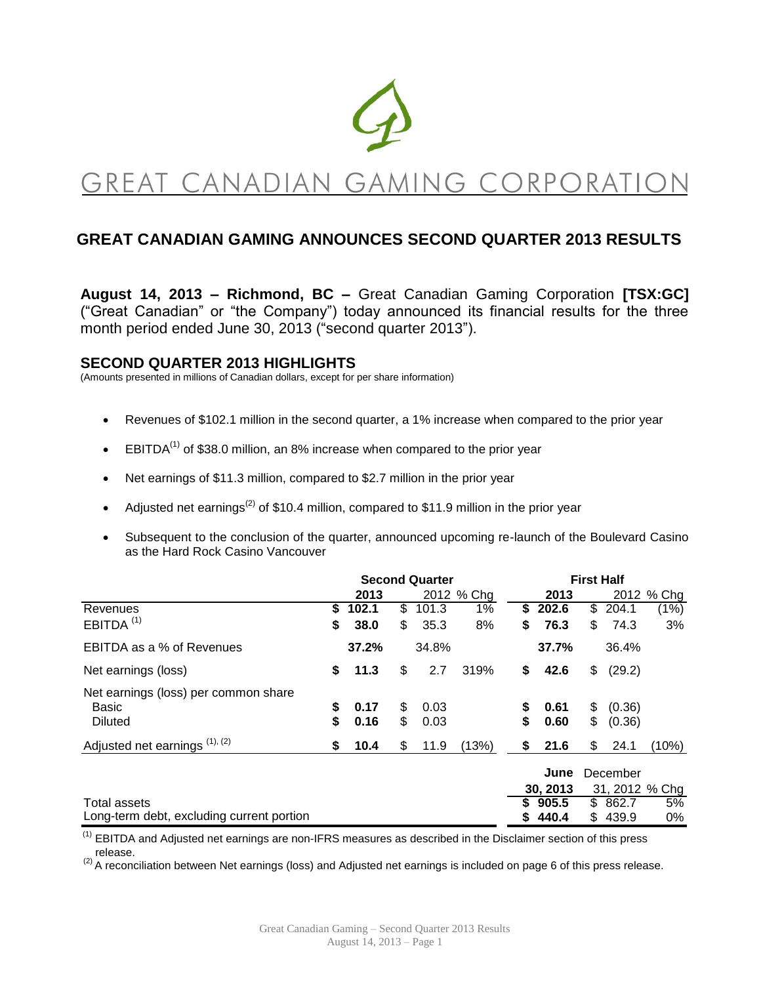

# GREAT CANADIAN GAMING CORPORATI

# **GREAT CANADIAN GAMING ANNOUNCES SECOND QUARTER 2013 RESULTS**

**August 14, 2013 – Richmond, BC –** Great Canadian Gaming Corporation **[TSX:GC]**  ("Great Canadian" or "the Company") today announced its financial results for the three month period ended June 30, 2013 ("second quarter 2013").

### **SECOND QUARTER 2013 HIGHLIGHTS**

(Amounts presented in millions of Canadian dollars, except for per share information)

- Revenues of \$102.1 million in the second quarter, a 1% increase when compared to the prior year
- EBITDA<sup> $(1)$ </sup> of \$38.0 million, an 8% increase when compared to the prior year
- Net earnings of \$11.3 million, compared to \$2.7 million in the prior year
- Adjusted net earnings<sup>(2)</sup> of \$10.4 million, compared to \$11.9 million in the prior year
- Subsequent to the conclusion of the quarter, announced upcoming re-launch of the Boulevard Casino as the Hard Rock Casino Vancouver

|                                           | <b>Second Quarter</b> |       |    |       | <b>First Half</b> |    |          |    |          |                |
|-------------------------------------------|-----------------------|-------|----|-------|-------------------|----|----------|----|----------|----------------|
|                                           |                       | 2013  |    |       | 2012 % Chg        |    | 2013     |    |          | 2012 % Chg     |
| Revenues                                  | S                     | 102.1 | \$ | 101.3 | 1%                | S. | 202.6    | \$ | 204.1    | (1%)           |
| EBITDA $(1)$                              | \$                    | 38.0  | \$ | 35.3  | 8%                | \$ | 76.3     | \$ | 74.3     | 3%             |
| EBITDA as a % of Revenues                 |                       | 37.2% |    | 34.8% |                   |    | 37.7%    |    | 36.4%    |                |
| Net earnings (loss)                       | \$                    | 11.3  | \$ | 2.7   | 319%              | \$ | 42.6     | \$ | (29.2)   |                |
| Net earnings (loss) per common share      |                       |       |    |       |                   |    |          |    |          |                |
| <b>Basic</b>                              | \$                    | 0.17  | \$ | 0.03  |                   | \$ | 0.61     | \$ | (0.36)   |                |
| <b>Diluted</b>                            | \$                    | 0.16  | \$ | 0.03  |                   | \$ | 0.60     | \$ | (0.36)   |                |
| Adjusted net earnings (1), (2)            | \$                    | 10.4  | \$ | 11.9  | (13%)             | \$ | 21.6     | \$ | 24.1     | (10%)          |
|                                           |                       |       |    |       |                   |    | June     |    | December |                |
|                                           |                       |       |    |       |                   |    | 30, 2013 |    |          | 31, 2012 % Chg |
| Total assets                              |                       |       |    |       |                   | S. | 905.5    |    | \$862.7  | 5%             |
| Long-term debt, excluding current portion |                       |       |    |       |                   | \$ | 440.4    |    | \$439.9  | 0%             |

 $<sup>(1)</sup>$  EBITDA and Adjusted net earnings are non-IFRS measures as described in the Disclaimer section of this press</sup> release.

(2) A reconciliation between Net earnings (loss) and Adjusted net earnings is included on page 6 of this press release.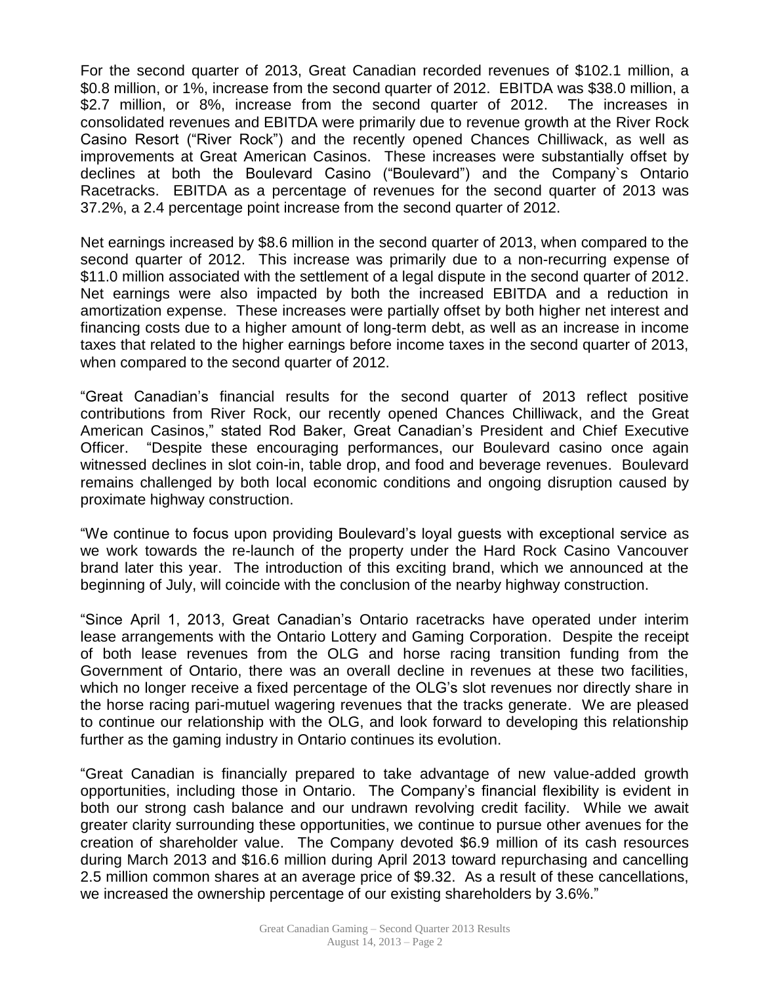For the second quarter of 2013, Great Canadian recorded revenues of \$102.1 million, a \$0.8 million, or 1%, increase from the second quarter of 2012. EBITDA was \$38.0 million, a \$2.7 million, or 8%, increase from the second quarter of 2012. The increases in consolidated revenues and EBITDA were primarily due to revenue growth at the River Rock Casino Resort ("River Rock") and the recently opened Chances Chilliwack, as well as improvements at Great American Casinos. These increases were substantially offset by declines at both the Boulevard Casino ("Boulevard") and the Company`s Ontario Racetracks. EBITDA as a percentage of revenues for the second quarter of 2013 was 37.2%, a 2.4 percentage point increase from the second quarter of 2012.

Net earnings increased by \$8.6 million in the second quarter of 2013, when compared to the second quarter of 2012. This increase was primarily due to a non-recurring expense of \$11.0 million associated with the settlement of a legal dispute in the second quarter of 2012. Net earnings were also impacted by both the increased EBITDA and a reduction in amortization expense. These increases were partially offset by both higher net interest and financing costs due to a higher amount of long-term debt, as well as an increase in income taxes that related to the higher earnings before income taxes in the second quarter of 2013, when compared to the second quarter of 2012.

"Great Canadian's financial results for the second quarter of 2013 reflect positive contributions from River Rock, our recently opened Chances Chilliwack, and the Great American Casinos," stated Rod Baker, Great Canadian's President and Chief Executive Officer. "Despite these encouraging performances, our Boulevard casino once again witnessed declines in slot coin-in, table drop, and food and beverage revenues. Boulevard remains challenged by both local economic conditions and ongoing disruption caused by proximate highway construction.

"We continue to focus upon providing Boulevard's loyal guests with exceptional service as we work towards the re-launch of the property under the Hard Rock Casino Vancouver brand later this year. The introduction of this exciting brand, which we announced at the beginning of July, will coincide with the conclusion of the nearby highway construction.

"Since April 1, 2013, Great Canadian's Ontario racetracks have operated under interim lease arrangements with the Ontario Lottery and Gaming Corporation. Despite the receipt of both lease revenues from the OLG and horse racing transition funding from the Government of Ontario, there was an overall decline in revenues at these two facilities, which no longer receive a fixed percentage of the OLG's slot revenues nor directly share in the horse racing pari-mutuel wagering revenues that the tracks generate. We are pleased to continue our relationship with the OLG, and look forward to developing this relationship further as the gaming industry in Ontario continues its evolution.

"Great Canadian is financially prepared to take advantage of new value-added growth opportunities, including those in Ontario. The Company's financial flexibility is evident in both our strong cash balance and our undrawn revolving credit facility. While we await greater clarity surrounding these opportunities, we continue to pursue other avenues for the creation of shareholder value. The Company devoted \$6.9 million of its cash resources during March 2013 and \$16.6 million during April 2013 toward repurchasing and cancelling 2.5 million common shares at an average price of \$9.32. As a result of these cancellations, we increased the ownership percentage of our existing shareholders by 3.6%."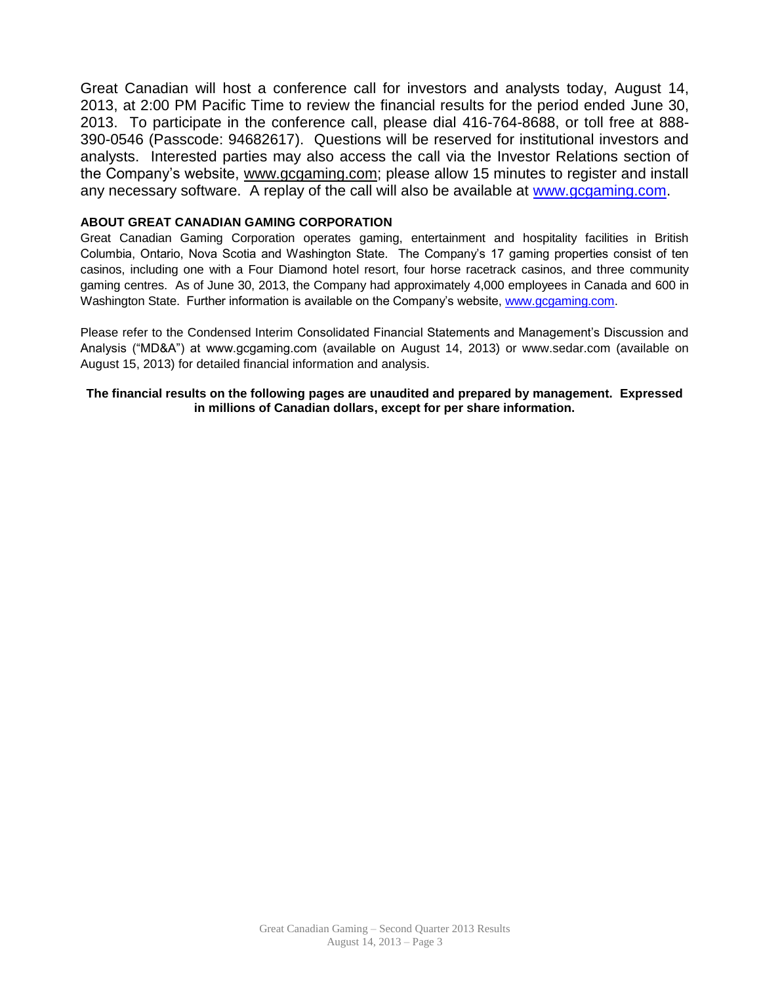Great Canadian will host a conference call for investors and analysts today, August 14, 2013, at 2:00 PM Pacific Time to review the financial results for the period ended June 30, 2013. To participate in the conference call, please dial 416-764-8688, or toll free at 888- 390-0546 (Passcode: 94682617). Questions will be reserved for institutional investors and analysts. Interested parties may also access the call via the Investor Relations section of the Company's website, [www.gcgaming.com;](http://www.gcgaming.com/) please allow 15 minutes to register and install any necessary software. A replay of the call will also be available at [www.gcgaming.com.](http://www.gcgaming.com/)

#### **ABOUT GREAT CANADIAN GAMING CORPORATION**

Great Canadian Gaming Corporation operates gaming, entertainment and hospitality facilities in British Columbia, Ontario, Nova Scotia and Washington State. The Company's 17 gaming properties consist of ten casinos, including one with a Four Diamond hotel resort, four horse racetrack casinos, and three community gaming centres. As of June 30, 2013, the Company had approximately 4,000 employees in Canada and 600 in Washington State. Further information is available on the Company's website, [www.gcgaming.com.](http://www.gcgaming.com/)

Please refer to the Condensed Interim Consolidated Financial Statements and Management's Discussion and Analysis ("MD&A") at www.gcgaming.com (available on August 14, 2013) or www.sedar.com (available on August 15, 2013) for detailed financial information and analysis.

#### **The financial results on the following pages are unaudited and prepared by management. Expressed in millions of Canadian dollars, except for per share information.**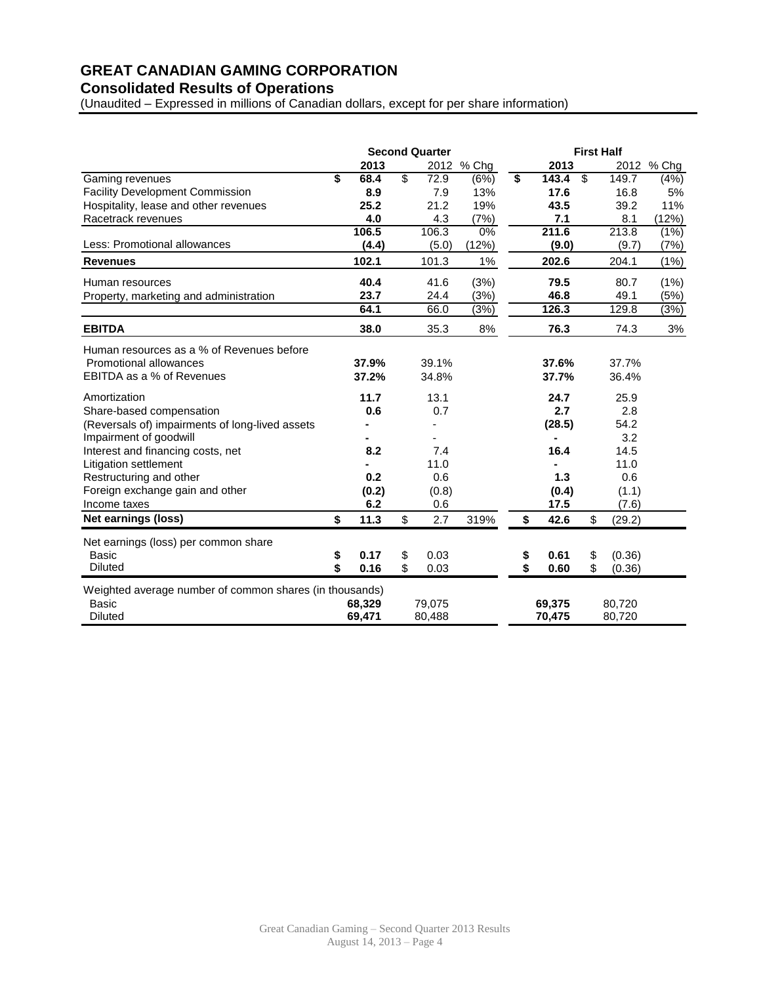# **GREAT CANADIAN GAMING CORPORATION**

# **Consolidated Results of Operations**

(Unaudited – Expressed in millions of Canadian dollars, except for per share information)

|                                                         | <b>Second Quarter</b> |        |    |        |            | <b>First Half</b>           |        |    |        |            |
|---------------------------------------------------------|-----------------------|--------|----|--------|------------|-----------------------------|--------|----|--------|------------|
|                                                         |                       | 2013   |    |        | 2012 % Chg |                             | 2013   |    |        | 2012 % Chg |
| Gaming revenues                                         | \$                    | 68.4   | \$ | 72.9   | (6%)       | $\overline{\boldsymbol{s}}$ | 143.4  | \$ | 149.7  | (4%)       |
| <b>Facility Development Commission</b>                  |                       | 8.9    |    | 7.9    | 13%        |                             | 17.6   |    | 16.8   | 5%         |
| Hospitality, lease and other revenues                   |                       | 25.2   |    | 21.2   | 19%        |                             | 43.5   |    | 39.2   | 11%        |
| Racetrack revenues                                      |                       | 4.0    |    | 4.3    | (7%)       |                             | 7.1    |    | 8.1    | (12%)      |
|                                                         |                       | 106.5  |    | 106.3  | 0%         |                             | 211.6  |    | 213.8  | (1%)       |
| Less: Promotional allowances                            |                       | (4.4)  |    | (5.0)  | (12%)      |                             | (9.0)  |    | (9.7)  | (7%)       |
| <b>Revenues</b>                                         |                       | 102.1  |    | 101.3  | 1%         |                             | 202.6  |    | 204.1  | (1%)       |
| Human resources                                         |                       | 40.4   |    | 41.6   | (3%)       |                             | 79.5   |    | 80.7   | (1%)       |
| Property, marketing and administration                  |                       | 23.7   |    | 24.4   | (3%)       |                             | 46.8   |    | 49.1   | (5%)       |
|                                                         |                       | 64.1   |    | 66.0   | (3%)       |                             | 126.3  |    | 129.8  | (3%)       |
| <b>EBITDA</b>                                           |                       | 38.0   |    | 35.3   | 8%         |                             | 76.3   |    | 74.3   | $3%$       |
| Human resources as a % of Revenues before               |                       |        |    |        |            |                             |        |    |        |            |
| Promotional allowances                                  |                       | 37.9%  |    | 39.1%  |            |                             | 37.6%  |    | 37.7%  |            |
| EBITDA as a % of Revenues                               |                       | 37.2%  |    | 34.8%  |            |                             | 37.7%  |    | 36.4%  |            |
| Amortization                                            |                       | 11.7   |    | 13.1   |            |                             | 24.7   |    | 25.9   |            |
| Share-based compensation                                |                       | 0.6    |    | 0.7    |            |                             | 2.7    |    | 2.8    |            |
| (Reversals of) impairments of long-lived assets         |                       |        |    |        |            |                             | (28.5) |    | 54.2   |            |
| Impairment of goodwill                                  |                       |        |    |        |            |                             |        |    | 3.2    |            |
| Interest and financing costs, net                       |                       | 8.2    |    | 7.4    |            |                             | 16.4   |    | 14.5   |            |
| Litigation settlement                                   |                       |        |    | 11.0   |            |                             |        |    | 11.0   |            |
| Restructuring and other                                 |                       | 0.2    |    | 0.6    |            |                             | 1.3    |    | 0.6    |            |
| Foreign exchange gain and other                         |                       | (0.2)  |    | (0.8)  |            |                             | (0.4)  |    | (1.1)  |            |
| Income taxes                                            |                       | 6.2    |    | 0.6    |            |                             | 17.5   |    | (7.6)  |            |
| <b>Net earnings (loss)</b>                              | \$                    | 11.3   | \$ | 2.7    | 319%       | \$                          | 42.6   | \$ | (29.2) |            |
| Net earnings (loss) per common share                    |                       |        |    |        |            |                             |        |    |        |            |
| <b>Basic</b>                                            | \$                    | 0.17   | \$ | 0.03   |            | \$                          | 0.61   | \$ | (0.36) |            |
| <b>Diluted</b>                                          | \$                    | 0.16   | \$ | 0.03   |            | \$                          | 0.60   | \$ | (0.36) |            |
| Weighted average number of common shares (in thousands) |                       |        |    |        |            |                             |        |    |        |            |
| <b>Basic</b>                                            |                       | 68,329 |    | 79,075 |            |                             | 69,375 |    | 80,720 |            |
| <b>Diluted</b>                                          |                       | 69,471 |    | 80,488 |            |                             | 70,475 |    | 80,720 |            |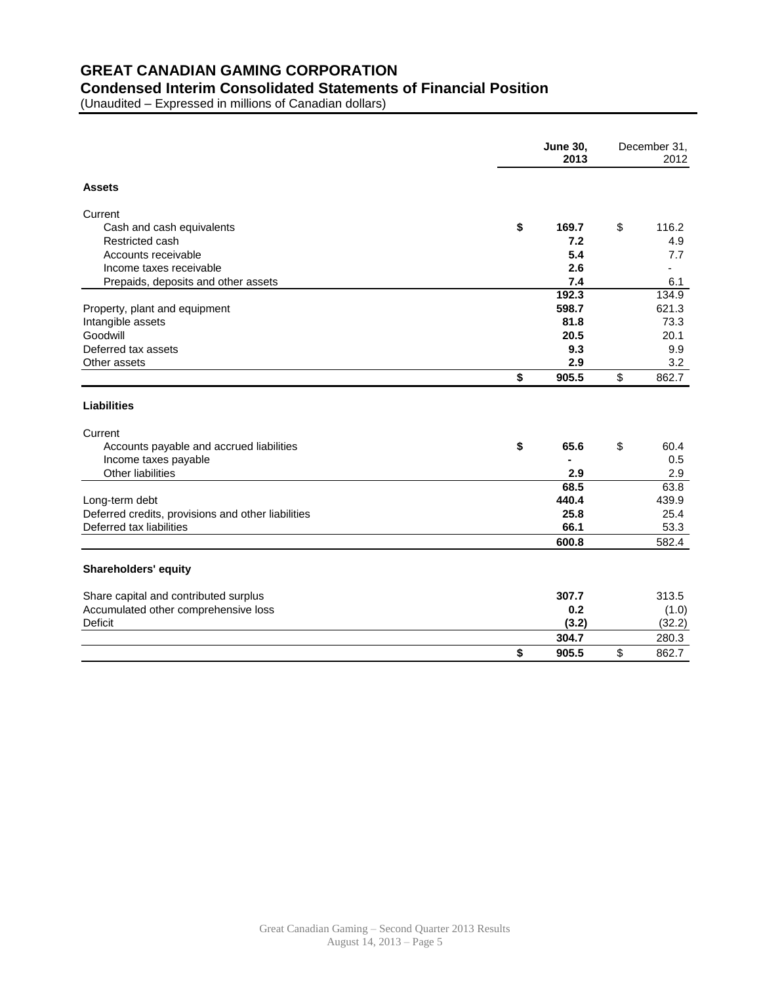# **GREAT CANADIAN GAMING CORPORATION**

### **Condensed Interim Consolidated Statements of Financial Position**

(Unaudited – Expressed in millions of Canadian dollars)

|                                                    | <b>June 30,</b><br>2013 | December 31,<br>2012 |  |
|----------------------------------------------------|-------------------------|----------------------|--|
| <b>Assets</b>                                      |                         |                      |  |
| Current                                            |                         |                      |  |
| Cash and cash equivalents                          | \$<br>169.7             | \$<br>116.2          |  |
| Restricted cash                                    | 7.2                     | 4.9                  |  |
| Accounts receivable                                | 5.4                     | 7.7                  |  |
| Income taxes receivable                            | 2.6                     |                      |  |
| Prepaids, deposits and other assets                | 7.4                     | 6.1                  |  |
|                                                    | 192.3                   | 134.9                |  |
| Property, plant and equipment                      | 598.7                   | 621.3                |  |
| Intangible assets                                  | 81.8                    | 73.3                 |  |
| Goodwill                                           | 20.5                    | 20.1                 |  |
| Deferred tax assets                                | 9.3                     | 9.9                  |  |
| Other assets                                       | 2.9                     | 3.2                  |  |
|                                                    | \$<br>905.5             | \$<br>862.7          |  |
| <b>Liabilities</b>                                 |                         |                      |  |
| Current                                            |                         |                      |  |
| Accounts payable and accrued liabilities           | \$<br>65.6              | \$<br>60.4           |  |
| Income taxes payable                               |                         | 0.5                  |  |
| Other liabilities                                  | 2.9                     | 2.9                  |  |
|                                                    | 68.5                    | 63.8                 |  |
| Long-term debt                                     | 440.4                   | 439.9                |  |
| Deferred credits, provisions and other liabilities | 25.8                    | 25.4                 |  |
| Deferred tax liabilities                           | 66.1                    | 53.3                 |  |
|                                                    | 600.8                   | 582.4                |  |
| Shareholders' equity                               |                         |                      |  |
| Share capital and contributed surplus              | 307.7                   | 313.5                |  |
| Accumulated other comprehensive loss               | 0.2                     | (1.0)                |  |
| <b>Deficit</b>                                     | (3.2)                   | (32.2)               |  |
|                                                    | 304.7                   | 280.3                |  |
|                                                    | \$<br>905.5             | \$<br>862.7          |  |
|                                                    |                         |                      |  |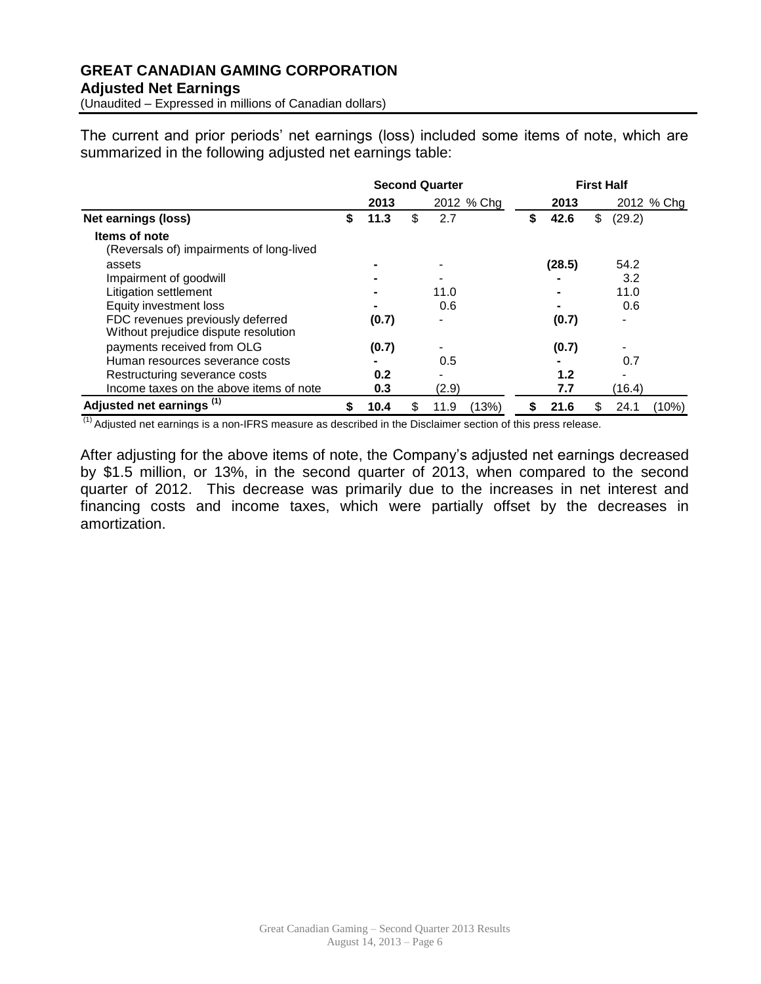# **GREAT CANADIAN GAMING CORPORATION Adjusted Net Earnings**

(Unaudited – Expressed in millions of Canadian dollars)

The current and prior periods' net earnings (loss) included some items of note, which are summarized in the following adjusted net earnings table:

|                                                                          | <b>Second Quarter</b> |       |    |                          |            | <b>First Half</b> |        |    |        |            |
|--------------------------------------------------------------------------|-----------------------|-------|----|--------------------------|------------|-------------------|--------|----|--------|------------|
|                                                                          |                       | 2013  |    |                          | 2012 % Chg |                   | 2013   |    |        | 2012 % Chg |
| <b>Net earnings (loss)</b>                                               | \$                    | 11.3  | \$ | 2.7                      |            | \$                | 42.6   | \$ | (29.2) |            |
| Items of note<br>(Reversals of) impairments of long-lived                |                       |       |    |                          |            |                   |        |    |        |            |
| assets                                                                   |                       |       |    |                          |            |                   | (28.5) |    | 54.2   |            |
| Impairment of goodwill                                                   |                       |       |    |                          |            |                   |        |    | 3.2    |            |
| Litigation settlement                                                    |                       |       |    | 11.0                     |            |                   |        |    | 11.0   |            |
| Equity investment loss                                                   |                       |       |    | 0.6                      |            |                   |        |    | 0.6    |            |
| FDC revenues previously deferred<br>Without prejudice dispute resolution |                       | (0.7) |    | $\overline{\phantom{a}}$ |            |                   | (0.7)  |    |        |            |
| payments received from OLG                                               |                       | (0.7) |    |                          |            |                   | (0.7)  |    |        |            |
| Human resources severance costs                                          |                       |       |    | 0.5                      |            |                   |        |    | 0.7    |            |
| Restructuring severance costs                                            |                       | 0.2   |    |                          |            |                   | 1.2    |    |        |            |
| Income taxes on the above items of note                                  |                       | 0.3   |    | (2.9)                    |            |                   | 7.7    |    | (16.4) |            |
| Adjusted net earnings <sup>(1)</sup>                                     |                       | 10.4  | Ъ  | 11.9                     | (13%)      |                   | 21.6   |    | 24.1   | (10%)      |

(1) Adjusted net earnings is a non-IFRS measure as described in the Disclaimer section of this press release.

After adjusting for the above items of note, the Company's adjusted net earnings decreased by \$1.5 million, or 13%, in the second quarter of 2013, when compared to the second quarter of 2012. This decrease was primarily due to the increases in net interest and financing costs and income taxes, which were partially offset by the decreases in amortization.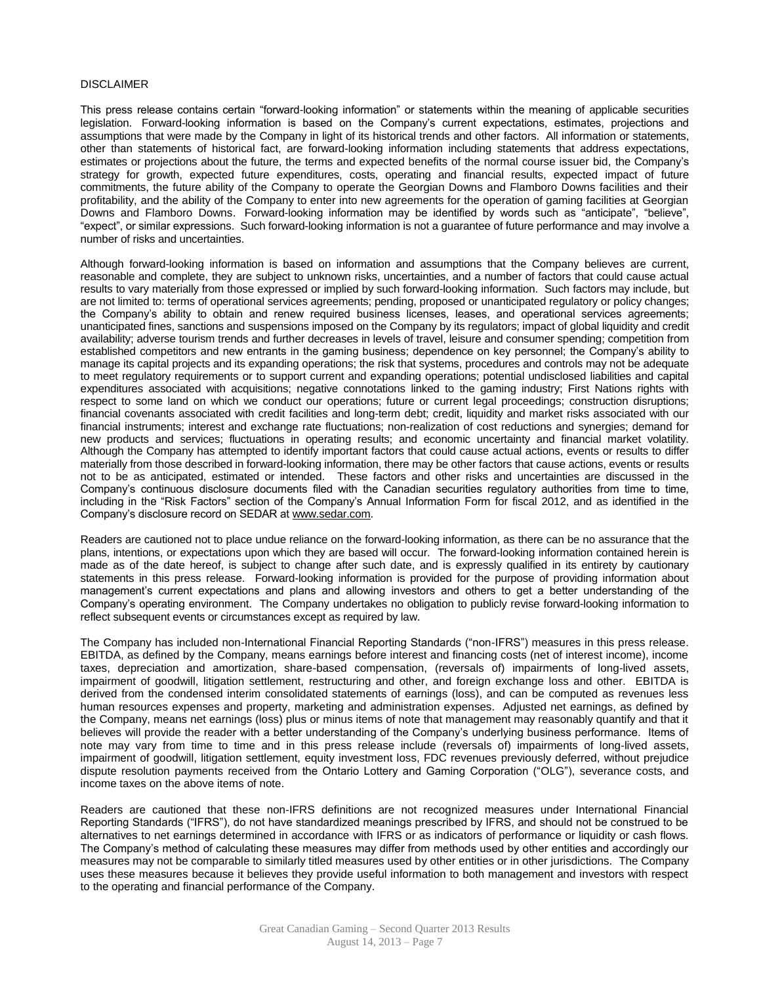#### DISCLAIMER

This press release contains certain "forward-looking information" or statements within the meaning of applicable securities legislation. Forward-looking information is based on the Company's current expectations, estimates, projections and assumptions that were made by the Company in light of its historical trends and other factors. All information or statements, other than statements of historical fact, are forward-looking information including statements that address expectations, estimates or projections about the future, the terms and expected benefits of the normal course issuer bid, the Company's strategy for growth, expected future expenditures, costs, operating and financial results, expected impact of future commitments, the future ability of the Company to operate the Georgian Downs and Flamboro Downs facilities and their profitability, and the ability of the Company to enter into new agreements for the operation of gaming facilities at Georgian Downs and Flamboro Downs. Forward-looking information may be identified by words such as "anticipate", "believe", "expect", or similar expressions. Such forward-looking information is not a guarantee of future performance and may involve a number of risks and uncertainties.

Although forward-looking information is based on information and assumptions that the Company believes are current, reasonable and complete, they are subject to unknown risks, uncertainties, and a number of factors that could cause actual results to vary materially from those expressed or implied by such forward-looking information. Such factors may include, but are not limited to: terms of operational services agreements; pending, proposed or unanticipated regulatory or policy changes; the Company's ability to obtain and renew required business licenses, leases, and operational services agreements; unanticipated fines, sanctions and suspensions imposed on the Company by its regulators; impact of global liquidity and credit availability; adverse tourism trends and further decreases in levels of travel, leisure and consumer spending; competition from established competitors and new entrants in the gaming business; dependence on key personnel; the Company's ability to manage its capital projects and its expanding operations; the risk that systems, procedures and controls may not be adequate to meet regulatory requirements or to support current and expanding operations; potential undisclosed liabilities and capital expenditures associated with acquisitions; negative connotations linked to the gaming industry; First Nations rights with respect to some land on which we conduct our operations; future or current legal proceedings; construction disruptions; financial covenants associated with credit facilities and long-term debt; credit, liquidity and market risks associated with our financial instruments; interest and exchange rate fluctuations; non-realization of cost reductions and synergies; demand for new products and services; fluctuations in operating results; and economic uncertainty and financial market volatility. Although the Company has attempted to identify important factors that could cause actual actions, events or results to differ materially from those described in forward-looking information, there may be other factors that cause actions, events or results not to be as anticipated, estimated or intended. These factors and other risks and uncertainties are discussed in the Company's continuous disclosure documents filed with the Canadian securities regulatory authorities from time to time, including in the "Risk Factors" section of the Company's Annual Information Form for fiscal 2012, and as identified in the Company's disclosure record on SEDAR at [www.sedar.com.](http://www.sedar.com/)

Readers are cautioned not to place undue reliance on the forward-looking information, as there can be no assurance that the plans, intentions, or expectations upon which they are based will occur. The forward-looking information contained herein is made as of the date hereof, is subject to change after such date, and is expressly qualified in its entirety by cautionary statements in this press release. Forward-looking information is provided for the purpose of providing information about management's current expectations and plans and allowing investors and others to get a better understanding of the Company's operating environment. The Company undertakes no obligation to publicly revise forward-looking information to reflect subsequent events or circumstances except as required by law.

The Company has included non-International Financial Reporting Standards ("non-IFRS") measures in this press release. EBITDA, as defined by the Company, means earnings before interest and financing costs (net of interest income), income taxes, depreciation and amortization, share-based compensation, (reversals of) impairments of long-lived assets, impairment of goodwill, litigation settlement, restructuring and other, and foreign exchange loss and other. EBITDA is derived from the condensed interim consolidated statements of earnings (loss), and can be computed as revenues less human resources expenses and property, marketing and administration expenses. Adjusted net earnings, as defined by the Company, means net earnings (loss) plus or minus items of note that management may reasonably quantify and that it believes will provide the reader with a better understanding of the Company's underlying business performance. Items of note may vary from time to time and in this press release include (reversals of) impairments of long-lived assets, impairment of goodwill, litigation settlement, equity investment loss, FDC revenues previously deferred, without prejudice dispute resolution payments received from the Ontario Lottery and Gaming Corporation ("OLG"), severance costs, and income taxes on the above items of note.

Readers are cautioned that these non-IFRS definitions are not recognized measures under International Financial Reporting Standards ("IFRS"), do not have standardized meanings prescribed by IFRS, and should not be construed to be alternatives to net earnings determined in accordance with IFRS or as indicators of performance or liquidity or cash flows. The Company's method of calculating these measures may differ from methods used by other entities and accordingly our measures may not be comparable to similarly titled measures used by other entities or in other jurisdictions. The Company uses these measures because it believes they provide useful information to both management and investors with respect to the operating and financial performance of the Company.